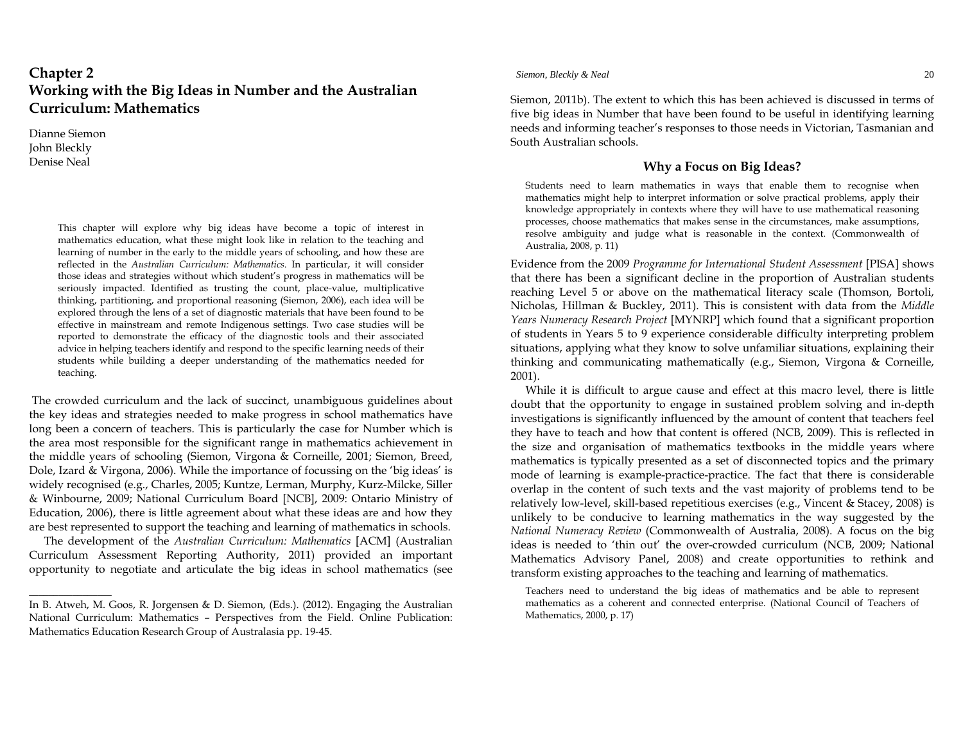# **Chapter 2 Working with the Big Ideas in Number and the Australian Curriculum: Mathematics**

Dianne Siemon John Bleckly Denise Neal

\_\_\_\_\_\_\_\_\_\_\_\_\_\_\_\_\_

This chapter will explore why big ideas have become a topic of interest in mathematics education, what these might look like in relation to the teaching and learning of number in the early to the middle years of schooling, and how these are reflected in the *Australian Curriculum: Mathematics*. In particular, it will consider those ideas and strategies without which student's progress in mathematics will be seriously impacted. Identified as trusting the count, place-value, multiplicative thinking, partitioning, and proportional reasoning (Siemon, 2006), each idea will be explored through the lens of a set of diagnostic materials that have been found to be effective in mainstream and remote Indigenous settings. Two case studies will be reported to demonstrate the efficacy of the diagnostic tools and their associated advice in helping teachers identify and respond to the specific learning needs of their students while building a deeper understanding of the mathematics needed for teaching.

 The crowded curriculum and the lack of succinct, unambiguous guidelines about the key ideas and strategies needed to make progress in school mathematics have long been a concern of teachers. This is particularly the case for Number which is the area most responsible for the significant range in mathematics achievement in the middle years of schooling (Siemon, Virgona & Corneille, 2001; Siemon, Breed, Dole, Izard & Virgona, 2006). While the importance of focussing on the 'big ideas' is widely recognised (e.g., Charles, 2005; Kuntze, Lerman, Murphy, Kurz-Milcke, Siller & Winbourne, 2009; National Curriculum Board [NCB], 2009: Ontario Ministry of Education, 2006), there is little agreement about what these ideas are and how they are best represented to support the teaching and learning of mathematics in schools.

The development of the *Australian Curriculum: Mathematics* [ACM] (Australian Curriculum Assessment Reporting Authority, 2011) provided an important opportunity to negotiate and articulate the big ideas in school mathematics (see *Siemon, Bleckly & Neal* 20

Siemon, 2011b). The extent to which this has been achieved is discussed in terms of five big ideas in Number that have been found to be useful in identifying learning needs and informing teacher's responses to those needs in Victorian, Tasmanian and South Australian schools.

# **Why a Focus on Big Ideas?**

Students need to learn mathematics in ways that enable them to recognise when mathematics might help to interpret information or solve practical problems, apply their knowledge appropriately in contexts where they will have to use mathematical reasoning processes, choose mathematics that makes sense in the circumstances, make assumptions, resolve ambiguity and judge what is reasonable in the context. (Commonwealth of Australia, 2008, p. 11)

Evidence from the 2009 *Programme for International Student Assessment* [PISA] shows that there has been a significant decline in the proportion of Australian students reaching Level 5 or above on the mathematical literacy scale (Thomson, Bortoli, Nicholas, Hillman & Buckley, 2011). This is consistent with data from the *Middle Years Numeracy Research Project* [MYNRP] which found that a significant proportion of students in Years 5 to 9 experience considerable difficulty interpreting problem situations, applying what they know to solve unfamiliar situations, explaining their thinking and communicating mathematically (e.g., Siemon, Virgona & Corneille, 2001).

While it is difficult to argue cause and effect at this macro level, there is little doubt that the opportunity to engage in sustained problem solving and in-depth investigations is significantly influenced by the amount of content that teachers feel they have to teach and how that content is offered (NCB, 2009). This is reflected in the size and organisation of mathematics textbooks in the middle years where mathematics is typically presented as a set of disconnected topics and the primary mode of learning is example-practice-practice. The fact that there is considerable overlap in the content of such texts and the vast majority of problems tend to be relatively low-level, skill-based repetitious exercises (e.g., Vincent & Stacey, 2008) is unlikely to be conducive to learning mathematics in the way suggested by the *National Numeracy Review* (Commonwealth of Australia, 2008). A focus on the big ideas is needed to 'thin out' the over-crowded curriculum (NCB, 2009; National Mathematics Advisory Panel, 2008) and create opportunities to rethink and transform existing approaches to the teaching and learning of mathematics.

Teachers need to understand the big ideas of mathematics and be able to represent mathematics as a coherent and connected enterprise. (National Council of Teachers of Mathematics, 2000, p. 17)

In B. Atweh, M. Goos, R. Jorgensen & D. Siemon, (Eds.). (2012). Engaging the Australian National Curriculum: Mathematics – Perspectives from the Field. Online Publication: Mathematics Education Research Group of Australasia pp. 19‐45.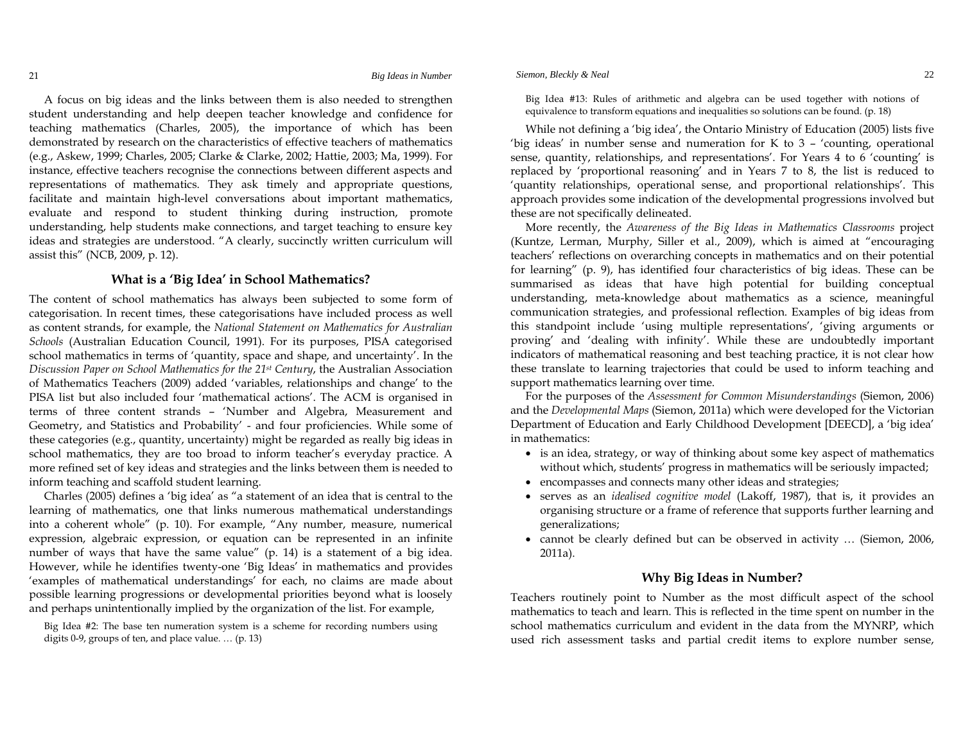A focus on big ideas and the links between them is also needed to strengthen student understanding and help deepen teacher knowledge and confidence for teaching mathematics (Charles, 2005), the importance of which has been demonstrated by research on the characteristics of effective teachers of mathematics (e.g., Askew, 1999; Charles, 2005; Clarke & Clarke, 2002; Hattie, 2003; Ma, 1999). For instance, effective teachers recognise the connections between different aspects and representations of mathematics. They ask timely and appropriate questions, facilitate and maintain high-level conversations about important mathematics, evaluate and respond to student thinking during instruction, promote understanding, help students make connections, and target teaching to ensure key ideas and strategies are understood. "A clearly, succinctly written curriculum will assist this" (NCB, 2009, p. 12).

### **What is a 'Big Idea' in School Mathematics?**

The content of school mathematics has always been subjected to some form of categorisation. In recent times, these categorisations have included process as well as content strands, for example, the *National Statement on Mathematics for Australian Schools* (Australian Education Council, 1991). For its purposes, PISA categorised school mathematics in terms of 'quantity, space and shape, and uncertainty'. In the *Discussion Paper on School Mathematics for the 21st Century*, the Australian Association of Mathematics Teachers (2009) added 'variables, relationships and change' to the PISA list but also included four 'mathematical actions'. The ACM is organised in terms of three content strands – 'Number and Algebra, Measurement and Geometry, and Statistics and Probability' - and four proficiencies. While some of these categories (e.g., quantity, uncertainty) might be regarded as really big ideas in school mathematics, they are too broad to inform teacher's everyday practice. A more refined set of key ideas and strategies and the links between them is needed to inform teaching and scaffold student learning.

Charles (2005) defines a 'big idea' as "a statement of an idea that is central to the learning of mathematics, one that links numerous mathematical understandings into a coherent whole" (p. 10). For example, "Any number, measure, numerical expression, algebraic expression, or equation can be represented in an infinite number of ways that have the same value" (p. 14) is a statement of a big idea. However, while he identifies twenty-one 'Big Ideas' in mathematics and provides 'examples of mathematical understandings' for each, no claims are made about possible learning progressions or developmental priorities beyond what is loosely and perhaps unintentionally implied by the organization of the list. For example,

Big Idea #2: The base ten numeration system is a scheme for recording numbers using digits 0-9, groups of ten, and place value. … (p. 13)

Big Idea #13: Rules of arithmetic and algebra can be used together with notions of equivalence to transform equations and inequalities so solutions can be found. (p. 18)

While not defining a 'big idea', the Ontario Ministry of Education (2005) lists five 'big ideas' in number sense and numeration for K to 3 – 'counting, operational sense, quantity, relationships, and representations'. For Years 4 to 6 'counting' is replaced by 'proportional reasoning' and in Years 7 to 8, the list is reduced to 'quantity relationships, operational sense, and proportional relationships'. This approach provides some indication of the developmental progressions involved but these are not specifically delineated.

More recently, the *Awareness of the Big Ideas in Mathematics Classrooms* project (Kuntze, Lerman, Murphy, Siller et al., 2009), which is aimed at "encouraging teachers' reflections on overarching concepts in mathematics and on their potential for learning" (p. 9), has identified four characteristics of big ideas. These can be summarised as ideas that have high potential for building conceptual understanding, meta-knowledge about mathematics as a science, meaningful communication strategies, and professional reflection. Examples of big ideas from this standpoint include 'using multiple representations', 'giving arguments or proving' and 'dealing with infinity'. While these are undoubtedly important indicators of mathematical reasoning and best teaching practice, it is not clear how these translate to learning trajectories that could be used to inform teaching and support mathematics learning over time.

For the purposes of the *Assessment for Common Misunderstandings* (Siemon, 2006) and the *Developmental Maps* (Siemon, 2011a) which were developed for the Victorian Department of Education and Early Childhood Development [DEECD], a 'big idea' in mathematics:

- is an idea, strategy, or way of thinking about some key aspect of mathematics without which, students' progress in mathematics will be seriously impacted;
- encompasses and connects many other ideas and strategies;
- serves as an *idealised cognitive model* (Lakoff, 1987), that is, it provides an organising structure or a frame of reference that supports further learning and generalizations;
- cannot be clearly defined but can be observed in activity … (Siemon, 2006, 2011a).

# **Why Big Ideas in Number?**

Teachers routinely point to Number as the most difficult aspect of the school mathematics to teach and learn. This is reflected in the time spent on number in the school mathematics curriculum and evident in the data from the MYNRP, which used rich assessment tasks and partial credit items to explore number sense,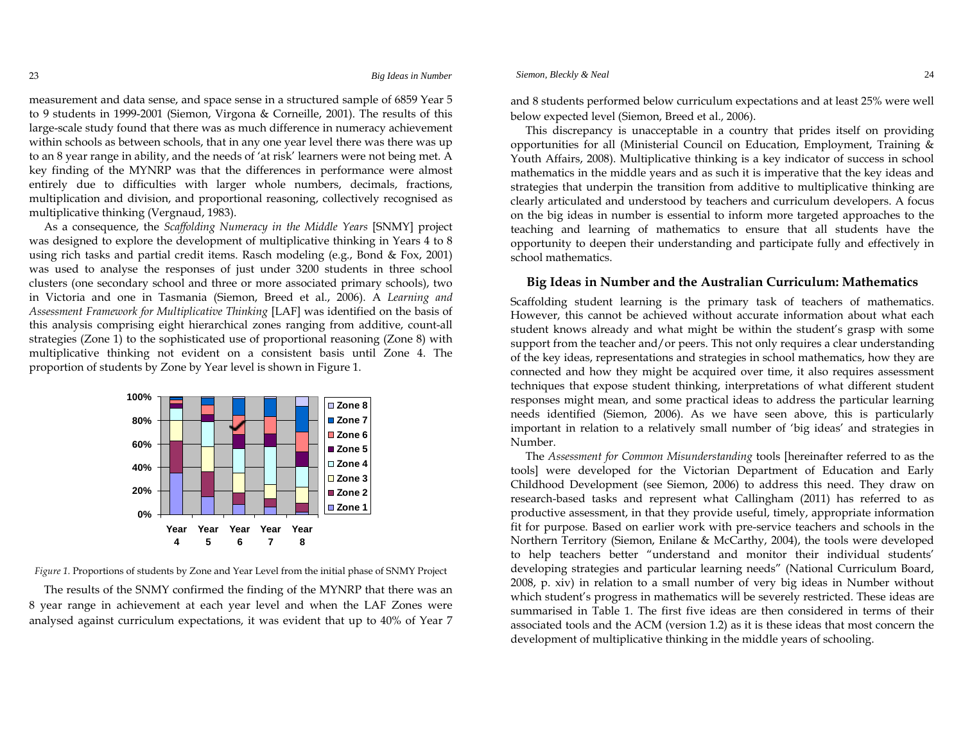measurement and data sense, and space sense in a structured sample of 6859 Year 5 to 9 students in 1999-2001 (Siemon, Virgona & Corneille, 2001). The results of this large-scale study found that there was as much difference in numeracy achievement within schools as between schools, that in any one year level there was there was up to an 8 year range in ability, and the needs of 'at risk' learners were not being met. A key finding of the MYNRP was that the differences in performance were almost entirely due to difficulties with larger whole numbers, decimals, fractions, multiplication and division, and proportional reasoning, collectively recognised as multiplicative thinking (Vergnaud, 1983).

As a consequence, the *Scaffolding Numeracy in the Middle Years* [SNMY] project was designed to explore the development of multiplicative thinking in Years 4 to 8 using rich tasks and partial credit items. Rasch modeling (e.g., Bond & Fox, 2001) was used to analyse the responses of just under 3200 students in three school clusters (one secondary school and three or more associated primary schools), two in Victoria and one in Tasmania (Siemon, Breed et al., 2006). A *Learning and Assessment Framework for Multiplicative Thinking* [LAF] was identified on the basis of this analysis comprising eight hierarchical zones ranging from additive, count-all strategies (Zone 1) to the sophisticated use of proportional reasoning (Zone 8) with multiplicative thinking not evident on a consistent basis until Zone 4. The proportion of students by Zone by Year level is shown in Figure 1.



*Figure 1.* Proportions of students by Zone and Year Level from the initial phase of SNMY Project

The results of the SNMY confirmed the finding of the MYNRP that there was an 8 year range in achievement at each year level and when the LAF Zones were analysed against curriculum expectations, it was evident that up to 40% of Year <sup>7</sup>

and <sup>8</sup> students performed below curriculum expectations and at least 25% were well below expected level (Siemon, Breed et al., 2006).

This discrepancy is unacceptable in a country that prides itself on providing opportunities for all (Ministerial Council on Education, Employment, Training & Youth Affairs, 2008). Multiplicative thinking is a key indicator of success in school mathematics in the middle years and as such it is imperative that the key ideas and strategies that underpin the transition from additive to multiplicative thinking are clearly articulated and understood by teachers and curriculum developers. A focus on the big ideas in number is essential to inform more targeted approaches to the teaching and learning of mathematics to ensure that all students have the opportunity to deepen their understanding and participate fully and effectively in school mathematics.

#### **Big Ideas in Number and the Australian Curriculum: Mathematics**

Scaffolding student learning is the primary task of teachers of mathematics. However, this cannot be achieved without accurate information about what each student knows already and what might be within the student's grasp with some support from the teacher and/or peers. This not only requires a clear understanding of the key ideas, representations and strategies in school mathematics, how they are connected and how they might be acquired over time, it also requires assessment techniques that expose student thinking, interpretations of what different student responses might mean, and some practical ideas to address the particular learning needs identified (Siemon, 2006). As we have seen above, this is particularly important in relation to a relatively small number of 'big ideas' and strategies in Number.

The *Assessment for Common Misunderstanding* tools [hereinafter referred to as the tools] were developed for the Victorian Department of Education and Early Childhood Development (see Siemon, 2006) to address this need. They draw on research-based tasks and represent what Callingham (2011) has referred to as productive assessment, in that they provide useful, timely, appropriate information fit for purpose. Based on earlier work with pre-service teachers and schools in the Northern Territory (Siemon, Enilane & McCarthy, 2004), the tools were developed to help teachers better "understand and monitor their individual students' developing strategies and particular learning needs" (National Curriculum Board, 2008, p. xiv) in relation to a small number of very big ideas in Number without which student's progress in mathematics will be severely restricted. These ideas are summarised in Table 1. The first five ideas are then considered in terms of their associated tools and the ACM (version 1.2) as it is these ideas that most concern the development of multiplicative thinking in the middle years of schooling.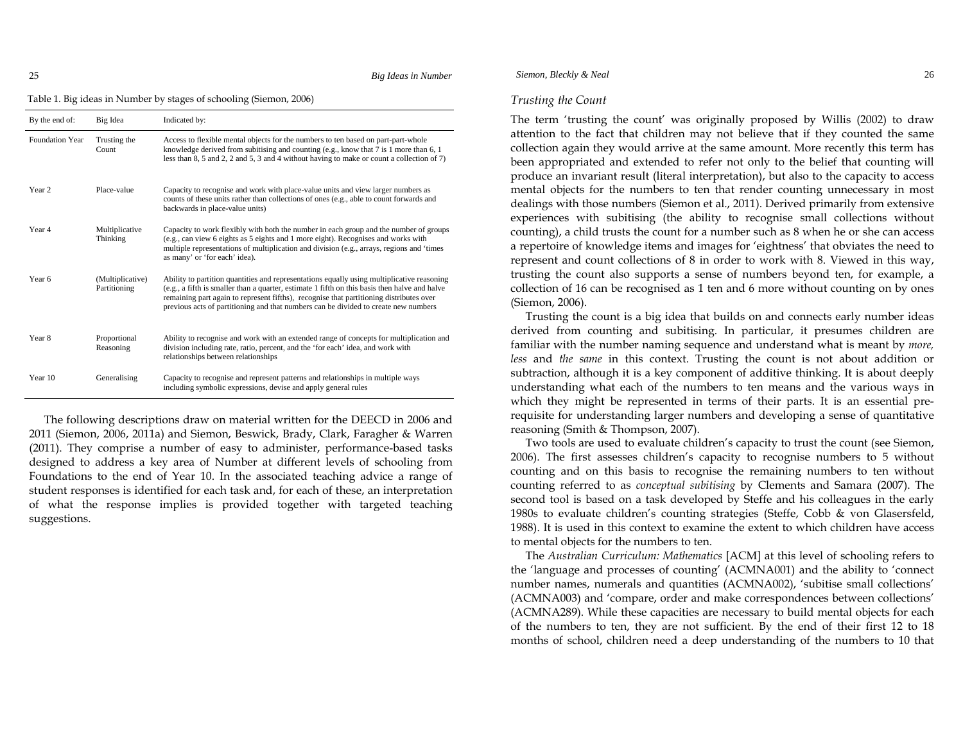25

*Big Ideas in Number*

Table 1. Big ideas in Number by stages of schooling (Siemon, 2006)

| By the end of:         | Big Idea                         | Indicated by:                                                                                                                                                                                                                                                                                                                                                                 |
|------------------------|----------------------------------|-------------------------------------------------------------------------------------------------------------------------------------------------------------------------------------------------------------------------------------------------------------------------------------------------------------------------------------------------------------------------------|
| <b>Foundation Year</b> | Trusting the<br>Count            | Access to flexible mental objects for the numbers to ten based on part-part-whole<br>knowledge derived from subitising and counting (e.g., know that $7$ is 1 more than 6, 1<br>less than 8, 5 and 2, 2 and 5, 3 and 4 without having to make or count a collection of 7)                                                                                                     |
| Year <sub>2</sub>      | Place-value                      | Capacity to recognise and work with place-value units and view larger numbers as<br>counts of these units rather than collections of ones (e.g., able to count forwards and<br>backwards in place-value units)                                                                                                                                                                |
| Year 4                 | Multiplicative<br>Thinking       | Capacity to work flexibly with both the number in each group and the number of groups<br>(e.g., can view 6 eights as 5 eights and 1 more eight). Recognises and works with<br>multiple representations of multiplication and division (e.g., arrays, regions and 'times<br>as many' or 'for each' idea).                                                                      |
| Year 6                 | (Multiplicative)<br>Partitioning | Ability to partition quantities and representations equally using multiplicative reasoning<br>(e.g., a fifth is smaller than a quarter, estimate 1 fifth on this basis then halve and halve<br>remaining part again to represent fifths), recognise that partitioning distributes over<br>previous acts of partitioning and that numbers can be divided to create new numbers |
| Year 8                 | Proportional<br>Reasoning        | Ability to recognise and work with an extended range of concepts for multiplication and<br>division including rate, ratio, percent, and the 'for each' idea, and work with<br>relationships between relationships                                                                                                                                                             |
| Year 10                | Generalising                     | Capacity to recognise and represent patterns and relationships in multiple ways<br>including symbolic expressions, devise and apply general rules                                                                                                                                                                                                                             |

The following descriptions draw on material written for the DEECD in 2006 and 2011 (Siemon, 2006, 2011a) and Siemon, Beswick, Brady, Clark, Faragher & Warren (2011). They comprise a number of easy to administer, performance-based tasks designed to address a key area of Number at different levels of schooling from Foundations to the end of Year 10. In the associated teaching advice a range of student responses is identified for each task and, for each of these, an interpretation of what the response implies is provided together with targeted teaching suggestions.

# *Siemon, Bleckly & Neal* 26

#### *Trusting the Count*

The term 'trusting the count' was originally proposed by Willis (2002) to draw attention to the fact that children may not believe that if they counted the same collection again they would arrive at the same amount. More recently this term has been appropriated and extended to refer not only to the belief that counting will produce an invariant result (literal interpretation), but also to the capacity to access mental objects for the numbers to ten that render counting unnecessary in most dealings with those numbers (Siemon et al., 2011). Derived primarily from extensive experiences with subitising (the ability to recognise small collections without counting), a child trusts the count for a number such as 8 when he or she can access a repertoire of knowledge items and images for 'eightness' that obviates the need to represent and count collections of 8 in order to work with 8. Viewed in this way, trusting the count also supports a sense of numbers beyond ten, for example, a collection of 16 can be recognised as 1 ten and 6 more without counting on by ones (Siemon, 2006).

Trusting the count is a big idea that builds on and connects early number ideas derived from counting and subitising. In particular, it presumes children are familiar with the number naming sequence and understand what is meant by *more, less* and *the same* in this context. Trusting the count is not about addition or subtraction, although it is a key component of additive thinking. It is about deeply understanding what each of the numbers to ten means and the various ways in which they might be represented in terms of their parts. It is an essential prerequisite for understanding larger numbers and developing a sense of quantitative reasoning (Smith & Thompson, 2007).

Two tools are used to evaluate children's capacity to trust the count (see Siemon, 2006). The first assesses children's capacity to recognise numbers to 5 without counting and on this basis to recognise the remaining numbers to ten without counting referred to as *conceptual subitising* by Clements and Samara (2007). The second tool is based on a task developed by Steffe and his colleagues in the early 1980s to evaluate children's counting strategies (Steffe, Cobb & von Glasersfeld, 1988). It is used in this context to examine the extent to which children have access to mental objects for the numbers to ten.

The *Australian Curriculum: Mathematics* [ACM] at this level of schooling refers to the 'language and processes of counting' (ACMNA001) and the ability to 'connect number names, numerals and quantities (ACMNA002), 'subitise small collections' (ACMNA003) and 'compare, order and make correspondences between collections' (ACMNA289). While these capacities are necessary to build mental objects for each of the numbers to ten, they are not sufficient. By the end of their first 12 to 18 months of school, children need a deep understanding of the numbers to 10 that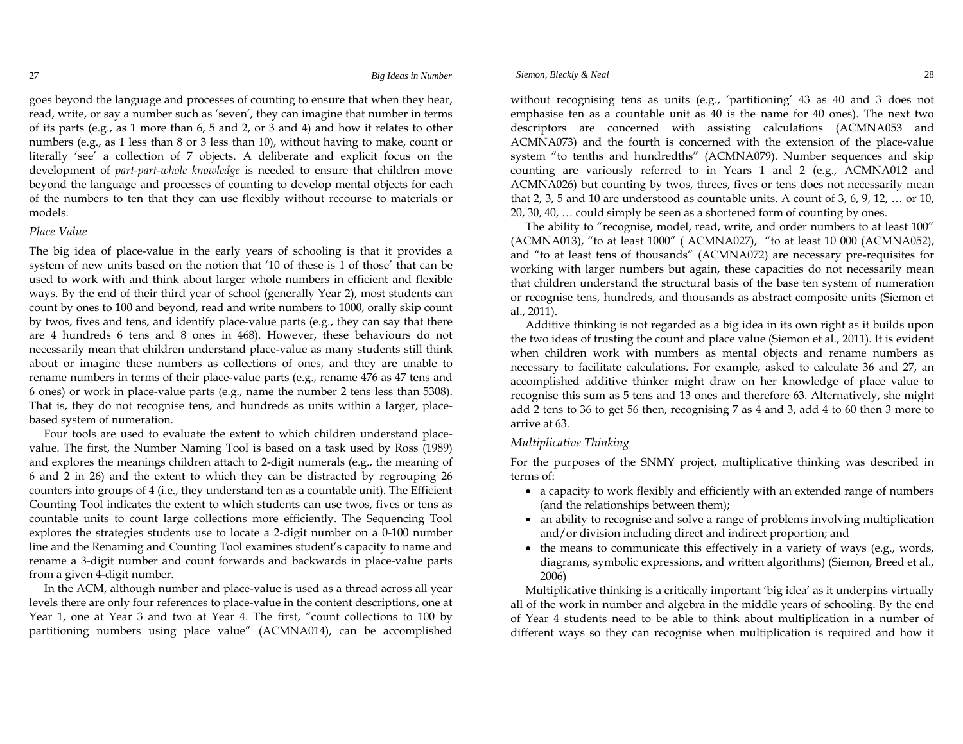goes beyond the language and processes of counting to ensure that when they hear, read, write, or say a number such as 'seven', they can imagine that number in terms of its parts (e.g., as 1 more than 6, 5 and 2, or 3 and 4) and how it relates to other numbers (e.g., as 1 less than 8 or 3 less than 10), without having to make, count or literally 'see' a collection of 7 objects. A deliberate and explicit focus on the development of *part-part-whole knowledge* is needed to ensure that children move beyond the language and processes of counting to develop mental objects for each of the numbers to ten that they can use flexibly without recourse to materials or models.

### *Place Value*

The big idea of place-value in the early years of schooling is that it provides a system of new units based on the notion that '10 of these is 1 of those' that can be used to work with and think about larger whole numbers in efficient and flexible ways. By the end of their third year of school (generally Year 2), most students can count by ones to 100 and beyond, read and write numbers to 1000, orally skip count by twos, fives and tens, and identify place-value parts (e.g., they can say that there are 4 hundreds 6 tens and 8 ones in 468). However, these behaviours do not necessarily mean that children understand place-value as many students still think about or imagine these numbers as collections of ones, and they are unable to rename numbers in terms of their place-value parts (e.g., rename 476 as 47 tens and 6 ones) or work in place-value parts (e.g., name the number 2 tens less than 5308). That is, they do not recognise tens, and hundreds as units within a larger, placebased system of numeration.

Four tools are used to evaluate the extent to which children understand placevalue. The first, the Number Naming Tool is based on a task used by Ross (1989) and explores the meanings children attach to 2-digit numerals (e.g., the meaning of 6 and 2 in 26) and the extent to which they can be distracted by regrouping 26 counters into groups of 4 (i.e., they understand ten as a countable unit). The Efficient Counting Tool indicates the extent to which students can use twos, fives or tens as countable units to count large collections more efficiently. The Sequencing Tool explores the strategies students use to locate a 2-digit number on a 0-100 number line and the Renaming and Counting Tool examines student's capacity to name and rename a 3-digit number and count forwards and backwards in place-value parts from a given 4-digit number.

In the ACM, although number and place-value is used as a thread across all year levels there are only four references to place-value in the content descriptions, one at Year 1, one at Year 3 and two at Year 4. The first, "count collections to 100 by partitioning numbers using place value" (ACMNA014), can be accomplished

#### *Siemon, Bleckly & Neal* 28

without recognising tens as units (e.g., 'partitioning' 43 as 40 and 3 does not emphasise ten as a countable unit as 40 is the name for 40 ones). The next two descriptors are concerned with assisting calculations (ACMNA053 and ACMNA073) and the fourth is concerned with the extension of the place-value system "to tenths and hundredths" (ACMNA079). Number sequences and skip counting are variously referred to in Years 1 and 2 (e.g., ACMNA012 and ACMNA026) but counting by twos, threes, fives or tens does not necessarily mean that 2, 3, 5 and 10 are understood as countable units. A count of 3, 6, 9, 12, … or 10, 20, 30, 40, … could simply be seen as a shortened form of counting by ones.

The ability to "recognise, model, read, write, and order numbers to at least 100" (ACMNA013), "to at least 1000" ( ACMNA027), "to at least 10 000 (ACMNA052), and "to at least tens of thousands" (ACMNA072) are necessary pre-requisites for working with larger numbers but again, these capacities do not necessarily mean that children understand the structural basis of the base ten system of numeration or recognise tens, hundreds, and thousands as abstract composite units (Siemon et al., 2011).

Additive thinking is not regarded as a big idea in its own right as it builds upon the two ideas of trusting the count and place value (Siemon et al., 2011). It is evident when children work with numbers as mental objects and rename numbers as necessary to facilitate calculations. For example, asked to calculate 36 and 27, an accomplished additive thinker might draw on her knowledge of place value to recognise this sum as 5 tens and 13 ones and therefore 63. Alternatively, she might add 2 tens to 36 to get 56 then, recognising 7 as 4 and 3, add 4 to 60 then 3 more to arrive at 63.

#### *Multiplicative Thinking*

For the purposes of the SNMY project, multiplicative thinking was described in terms of:

- a capacity to work flexibly and efficiently with an extended range of numbers (and the relationships between them);
- an ability to recognise and solve a range of problems involving multiplication and/or division including direct and indirect proportion; and
- the means to communicate this effectively in a variety of ways (e.g., words, diagrams, symbolic expressions, and written algorithms) (Siemon, Breed et al., 2006)

Multiplicative thinking is a critically important 'big idea' as it underpins virtually all of the work in number and algebra in the middle years of schooling. By the end of Year 4 students need to be able to think about multiplication in a number of different ways so they can recognise when multiplication is required and how it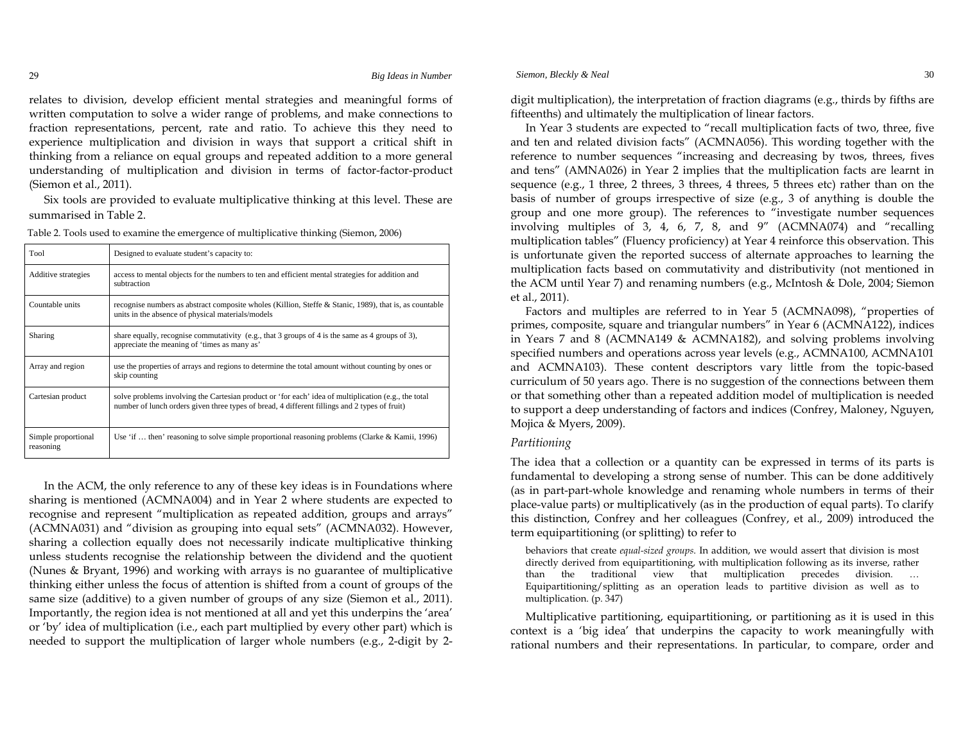relates to division, develop efficient mental strategies and meaningful forms of written computation to solve a wider range of problems, and make connections to fraction representations, percent, rate and ratio. To achieve this they need to experience multiplication and division in ways that support a critical shift in thinking from a reliance on equal groups and repeated addition to a more general understanding of multiplication and division in terms of factor-factor-product (Siemon et al., 2011).

Six tools are provided to evaluate multiplicative thinking at this level. These are summarised in Table 2.

| Tool                             | Designed to evaluate student's capacity to:                                                                                                                                                           |
|----------------------------------|-------------------------------------------------------------------------------------------------------------------------------------------------------------------------------------------------------|
| Additive strategies              | access to mental objects for the numbers to ten and efficient mental strategies for addition and<br>subtraction                                                                                       |
| Countable units                  | recognise numbers as abstract composite wholes (Killion, Steffe & Stanic, 1989), that is, as countable<br>units in the absence of physical materials/models                                           |
| Sharing                          | share equally, recognise commutativity (e.g., that 3 groups of 4 is the same as 4 groups of 3),<br>appreciate the meaning of 'times as many as'                                                       |
| Array and region                 | use the properties of arrays and regions to determine the total amount without counting by ones or<br>skip counting                                                                                   |
| Cartesian product                | solve problems involving the Cartesian product or 'for each' idea of multiplication (e.g., the total<br>number of lunch orders given three types of bread, 4 different fillings and 2 types of fruit) |
| Simple proportional<br>reasoning | Use 'if  then' reasoning to solve simple proportional reasoning problems (Clarke & Kamii, 1996)                                                                                                       |

Table 2. Tools used to examine the emergence of multiplicative thinking (Siemon, 2006)

In the ACM, the only reference to any of these key ideas is in Foundations where sharing is mentioned (ACMNA004) and in Year 2 where students are expected to recognise and represent "multiplication as repeated addition, groups and arrays" (ACMNA031) and "division as grouping into equal sets" (ACMNA032). However, sharing a collection equally does not necessarily indicate multiplicative thinking unless students recognise the relationship between the dividend and the quotient (Nunes & Bryant, 1996) and working with arrays is no guarantee of multiplicative thinking either unless the focus of attention is shifted from a count of groups of the same size (additive) to a given number of groups of any size (Siemon et al., 2011). Importantly, the region idea is not mentioned at all and yet this underpins the 'area' or 'by' idea of multiplication (i.e., each part multiplied by every other part) which is needed to support the multiplication of larger whole numbers (e.g., 2-digit by 2digit multiplication), the interpretation of fraction diagrams (e.g., thirds by fifths are fifteenths) and ultimately the multiplication of linear factors.

In Year 3 students are expected to "recall multiplication facts of two, three, five and ten and related division facts" (ACMNA056). This wording together with the reference to number sequences "increasing and decreasing by twos, threes, fives and tens" (AMNA026) in Year 2 implies that the multiplication facts are learnt in sequence (e.g., 1 three, 2 threes, 3 threes, 4 threes, 5 threes etc) rather than on the basis of number of groups irrespective of size (e.g., 3 of anything is double the group and one more group). The references to "investigate number sequences involving multiples of 3, 4, 6, 7, 8, and 9" (ACMNA074) and "recalling multiplication tables" (Fluency proficiency) at Year 4 reinforce this observation. This is unfortunate given the reported success of alternate approaches to learning the multiplication facts based on commutativity and distributivity (not mentioned in the ACM until Year 7) and renaming numbers (e.g., McIntosh & Dole, 2004; Siemon et al., 2011).

Factors and multiples are referred to in Year 5 (ACMNA098), "properties of primes, composite, square and triangular numbers" in Year 6 (ACMNA122), indices in Years 7 and 8 (ACMNA149 & ACMNA182), and solving problems involving specified numbers and operations across year levels (e.g., ACMNA100, ACMNA101 and ACMNA103). These content descriptors vary little from the topic-based curriculum of 50 years ago. There is no suggestion of the connections between them or that something other than a repeated addition model of multiplication is needed to support a deep understanding of factors and indices (Confrey, Maloney, Nguyen, Mojica & Myers, 2009).

# *Partitioning*

The idea that a collection or a quantity can be expressed in terms of its parts is fundamental to developing a strong sense of number. This can be done additively (as in part-part-whole knowledge and renaming whole numbers in terms of their place-value parts) or multiplicatively (as in the production of equal parts). To clarify this distinction, Confrey and her colleagues (Confrey, et al., 2009) introduced the term equipartitioning (or splitting) to refer to

behaviors that create *equal-sized groups*. In addition, we would assert that division is most directly derived from equipartitioning, with multiplication following as its inverse, rather than the traditional view that multiplication precedes division. … Equipartitioning/splitting as an operation leads to partitive division as well as to multiplication. (p. 347)

Multiplicative partitioning, equipartitioning, or partitioning as it is used in this context is a 'big idea' that underpins the capacity to work meaningfully with rational numbers and their representations. In particular, to compare, order and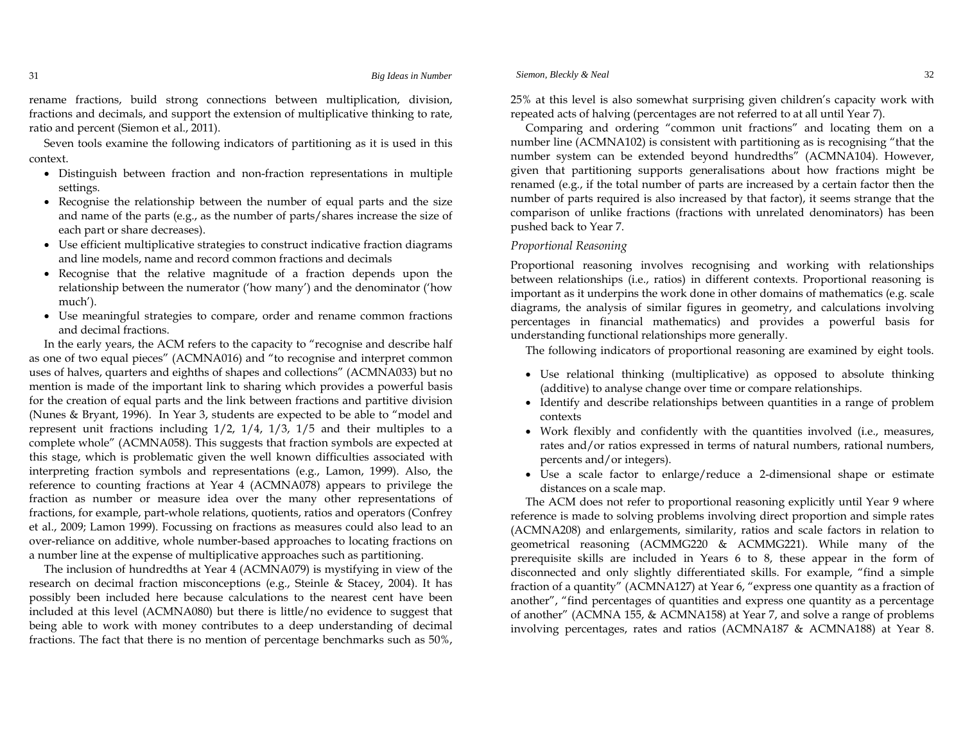rename fractions, build strong connections between multiplication, division, fractions and decimals, and support the extension of multiplicative thinking to rate, ratio and percent (Siemon et al., 2011).

Seven tools examine the following indicators of partitioning as it is used in this context.

- Distinguish between fraction and non-fraction representations in multiple settings.
- Recognise the relationship between the number of equal parts and the size and name of the parts (e.g., as the number of parts/shares increase the size of each part or share decreases).
- Use efficient multiplicative strategies to construct indicative fraction diagrams and line models, name and record common fractions and decimals
- Recognise that the relative magnitude of a fraction depends upon the relationship between the numerator ('how many') and the denominator ('how much').
- Use meaningful strategies to compare, order and rename common fractions and decimal fractions.

In the early years, the ACM refers to the capacity to "recognise and describe half as one of two equal pieces" (ACMNA016) and "to recognise and interpret common uses of halves, quarters and eighths of shapes and collections" (ACMNA033) but no mention is made of the important link to sharing which provides a powerful basis for the creation of equal parts and the link between fractions and partitive division (Nunes & Bryant, 1996). In Year 3, students are expected to be able to "model and represent unit fractions including 1/2, 1/4, 1/3, 1/5 and their multiples to a complete whole" (ACMNA058). This suggests that fraction symbols are expected at this stage, which is problematic given the well known difficulties associated with interpreting fraction symbols and representations (e.g., Lamon, 1999). Also, the reference to counting fractions at Year 4 (ACMNA078) appears to privilege the fraction as number or measure idea over the many other representations of fractions, for example, part-whole relations, quotients, ratios and operators (Confrey et al., 2009; Lamon 1999). Focussing on fractions as measures could also lead to an over-reliance on additive, whole number-based approaches to locating fractions on a number line at the expense of multiplicative approaches such as partitioning.

The inclusion of hundredths at Year 4 (ACMNA079) is mystifying in view of the research on decimal fraction misconceptions (e.g., Steinle & Stacey, 2004). It has possibly been included here because calculations to the nearest cent have been included at this level (ACMNA080) but there is little/no evidence to suggest that being able to work with money contributes to a deep understanding of decimal fractions. The fact that there is no mention of percentage benchmarks such as 50%,

25% at this level is also somewhat surprising given children's capacity work with repeated acts of halving (percentages are not referred to at all until Year 7).

Comparing and ordering "common unit fractions" and locating them on a number line (ACMNA102) is consistent with partitioning as is recognising "that the number system can be extended beyond hundredths" (ACMNA104). However, given that partitioning supports generalisations about how fractions might be renamed  $(e.g., if the total number of parts are increased by a certain factor then the$ number of parts required is also increased by that factor), it seems strange that the comparison of unlike fractions (fractions with unrelated denominators) has been pushed back to Year 7.

#### *Proportional Reasoning*

Proportional reasoning involves recognising and working with relationships between relationships (i.e., ratios) in different contexts. Proportional reasoning is important as it underpins the work done in other domains of mathematics (e.g. scale diagrams, the analysis of similar figures in geometry, and calculations involving percentages in financial mathematics) and provides a powerful basis for understanding functional relationships more generally.

The following indicators of proportional reasoning are examined by eight tools.

- Use relational thinking (multiplicative) as opposed to absolute thinking (additive) to analyse change over time or compare relationships.
- Identify and describe relationships between quantities in a range of problem contexts
- Work flexibly and confidently with the quantities involved (i.e., measures, rates and/or ratios expressed in terms of natural numbers, rational numbers, percents and/or integers).
- Use a scale factor to enlarge/reduce a 2-dimensional shape or estimate distances on a scale map.

The ACM does not refer to proportional reasoning explicitly until Year 9 where reference is made to solving problems involving direct proportion and simple rates (ACMNA208) and enlargements, similarity, ratios and scale factors in relation to geometrical reasoning (ACMMG220 & ACMMG221). While many of the prerequisite skills are included in Years 6 to 8, these appear in the form of disconnected and only slightly differentiated skills. For example, "find a simple fraction of a quantity" (ACMNA127) at Year 6, "express one quantity as a fraction of another", "find percentages of quantities and express one quantity as a percentage of another" (ACMNA 155, & ACMNA158) at Year 7, and solve a range of problems involving percentages, rates and ratios (ACMNA187 & ACMNA188) at Year 8.

31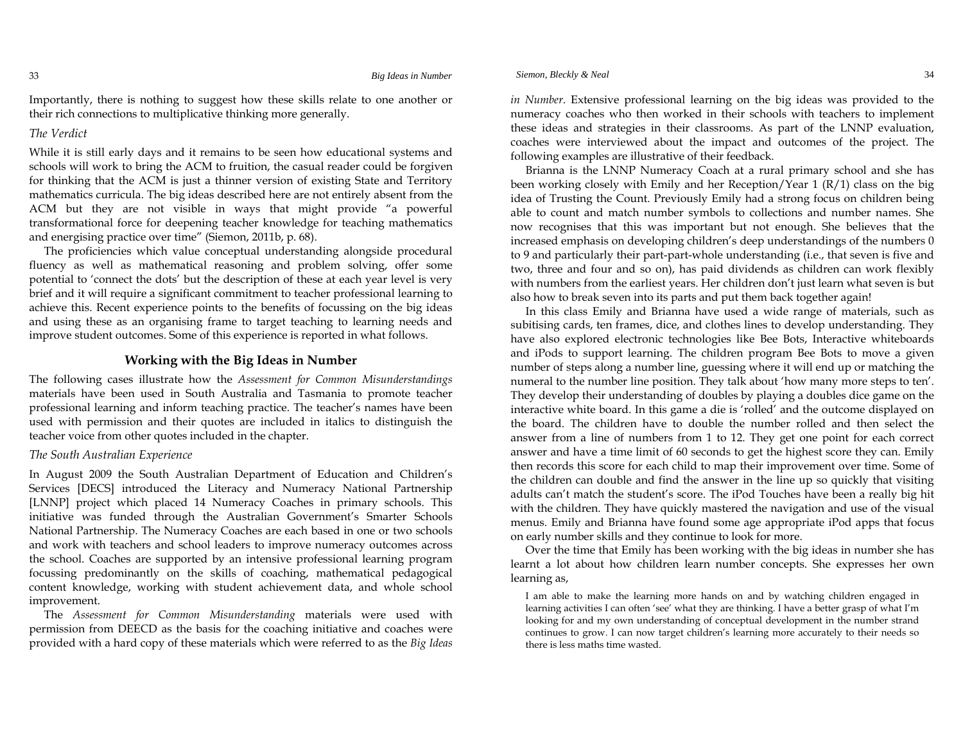33

Importantly, there is nothing to suggest how these skills relate to one another or their rich connections to multiplicative thinking more generally.

#### *The Verdict*

While it is still early days and it remains to be seen how educational systems and schools will work to bring the ACM to fruition, the casual reader could be forgiven for thinking that the ACM is just a thinner version of existing State and Territory mathematics curricula. The big ideas described here are not entirely absent from the ACM but they are not visible in ways that might provide "a powerful transformational force for deepening teacher knowledge for teaching mathematics and energising practice over time" (Siemon, 2011b, p. 68).

The proficiencies which value conceptual understanding alongside procedural fluency as well as mathematical reasoning and problem solving, offer some potential to 'connect the dots' but the description of these at each year level is very brief and it will require a significant commitment to teacher professional learning to achieve this. Recent experience points to the benefits of focussing on the big ideas and using these as an organising frame to target teaching to learning needs and improve student outcomes. Some of this experience is reported in what follows.

# **Working with the Big Ideas in Number**

The following cases illustrate how the *Assessment for Common Misunderstandings* materials have been used in South Australia and Tasmania to promote teacher professional learning and inform teaching practice. The teacher's names have been used with permission and their quotes are included in italics to distinguish the teacher voice from other quotes included in the chapter.

#### *The South Australian Experience*

In August 2009 the South Australian Department of Education and Children's Services [DECS] introduced the Literacy and Numeracy National Partnership [LNNP] project which placed 14 Numeracy Coaches in primary schools. This initiative was funded through the Australian Government's Smarter Schools National Partnership. The Numeracy Coaches are each based in one or two schools and work with teachers and school leaders to improve numeracy outcomes across the school. Coaches are supported by an intensive professional learning program focussing predominantly on the skills of coaching, mathematical pedagogical content knowledge, working with student achievement data, and whole school improvement.

The *Assessment for Common Misunderstanding* materials were used with permission from DEECD as the basis for the coaching initiative and coaches were provided with a hard copy of these materials which were referred to as the *Big Ideas*  *in Number*. Extensive professional learning on the big ideas was provided to the numeracy coaches who then worked in their schools with teachers to implement these ideas and strategies in their classrooms. As part of the LNNP evaluation, coaches were interviewed about the impact and outcomes of the project. The following examples are illustrative of their feedback.

Brianna is the LNNP Numeracy Coach at a rural primary school and she has been working closely with Emily and her Reception/Year  $1 \frac{R}{1}$  class on the big idea of Trusting the Count. Previously Emily had a strong focus on children being able to count and match number symbols to collections and number names. She now recognises that this was important but not enough. She believes that the increased emphasis on developing children's deep understandings of the numbers 0 to 9 and particularly their part-part-whole understanding (i.e., that seven is five and two, three and four and so on), has paid dividends as children can work flexibly with numbers from the earliest years. Her children don't just learn what seven is but also how to break seven into its parts and put them back together again!

In this class Emily and Brianna have used a wide range of materials, such as subitising cards, ten frames, dice, and clothes lines to develop understanding. They have also explored electronic technologies like Bee Bots, Interactive whiteboards and iPods to support learning. The children program Bee Bots to move a given number of steps along a number line, guessing where it will end up or matching the numeral to the number line position. They talk about 'how many more steps to ten'. They develop their understanding of doubles by playing a doubles dice game on the interactive white board. In this game a die is 'rolled' and the outcome displayed on the board. The children have to double the number rolled and then select the answer from a line of numbers from 1 to 12. They get one point for each correct answer and have a time limit of 60 seconds to get the highest score they can. Emily then records this score for each child to map their improvement over time. Some of the children can double and find the answer in the line up so quickly that visiting adults can't match the student's score. The iPod Touches have been a really big hit with the children. They have quickly mastered the navigation and use of the visual menus. Emily and Brianna have found some age appropriate iPod apps that focus on early number skills and they continue to look for more.

Over the time that Emily has been working with the big ideas in number she has learnt a lot about how children learn number concepts. She expresses her own learning as,

I am able to make the learning more hands on and by watching children engaged in learning activities I can often 'see' what they are thinking. I have a better grasp of what I'm looking for and my own understanding of conceptual development in the number strand continues to grow. I can now target children's learning more accurately to their needs so there is less maths time wasted.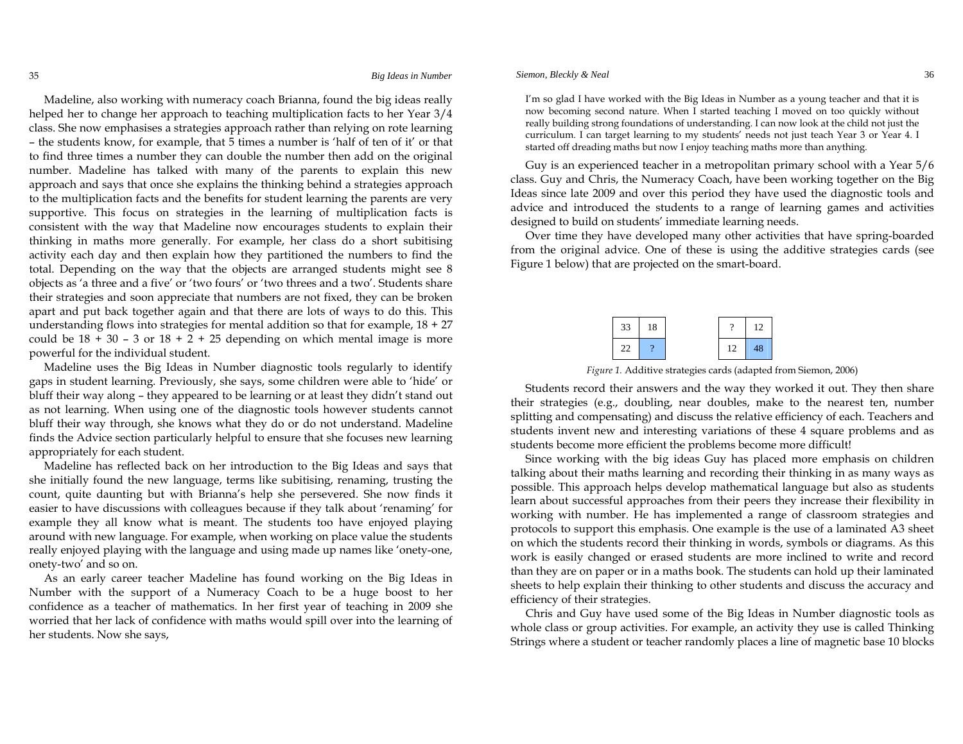Madeline, also working with numeracy coach Brianna, found the big ideas really helped her to change her approach to teaching multiplication facts to her Year 3/4 class. She now emphasises a strategies approach rather than relying on rote learning – the students know, for example, that 5 times a number is 'half of ten of it' or that to find three times a number they can double the number then add on the original number. Madeline has talked with many of the parents to explain this new approach and says that once she explains the thinking behind a strategies approach to the multiplication facts and the benefits for student learning the parents are very supportive. This focus on strategies in the learning of multiplication facts is consistent with the way that Madeline now encourages students to explain their thinking in maths more generally. For example, her class do a short subitising activity each day and then explain how they partitioned the numbers to find the total. Depending on the way that the objects are arranged students might see 8 objects as 'a three and a five' or 'two fours' or 'two threes and a two'. Students share their strategies and soon appreciate that numbers are not fixed, they can be broken apart and put back together again and that there are lots of ways to do this. This understanding flows into strategies for mental addition so that for example, 18 + 27 could be  $18 + 30 - 3$  or  $18 + 2 + 25$  depending on which mental image is more powerful for the individual student.

Madeline uses the Big Ideas in Number diagnostic tools regularly to identify gaps in student learning. Previously, she says, some children were able to 'hide' or bluff their way along – they appeared to be learning or at least they didn't stand out as not learning. When using one of the diagnostic tools however students cannot bluff their way through, she knows what they do or do not understand. Madeline finds the Advice section particularly helpful to ensure that she focuses new learning appropriately for each student.

Madeline has reflected back on her introduction to the Big Ideas and says that she initially found the new language, terms like subitising, renaming, trusting the count, quite daunting but with Brianna's help she persevered. She now finds it easier to have discussions with colleagues because if they talk about 'renaming' for example they all know what is meant. The students too have enjoyed playing around with new language. For example, when working on place value the students really enjoyed playing with the language and using made up names like 'onety-one, onety-two' and so on.

As an early career teacher Madeline has found working on the Big Ideas in Number with the support of a Numeracy Coach to be a huge boost to her confidence as a teacher of mathematics. In her first year of teaching in 2009 she worried that her lack of confidence with maths would spill over into the learning of her students. Now she says,

#### *Siemon, Bleckly & Neal* 36

I'm so glad I have worked with the Big Ideas in Number as a young teacher and that it is now becoming second nature. When I started teaching I moved on too quickly without really building strong foundations of understanding. I can now look at the child not just the curriculum. I can target learning to my students' needs not just teach Year 3 or Year 4. I started off dreading maths but now I enjoy teaching maths more than anything.

Guy is an experienced teacher in a metropolitan primary school with a Year 5/6 class. Guy and Chris, the Numeracy Coach, have been working together on the Big Ideas since late 2009 and over this period they have used the diagnostic tools and advice and introduced the students to a range of learning games and activities designed to build on students' immediate learning needs.

Over time they have developed many other activities that have spring-boarded from the original advice. One of these is using the additive strategies cards (see Figure 1 below) that are projected on the smart-board.

| $33 \mid 18$ |  |              | $?$   12 |
|--------------|--|--------------|----------|
| $22 \mid ?$  |  | $12 \mid 48$ |          |

*Figure 1.* Additive strategies cards (adapted from Siemon, 2006)

Students record their answers and the way they worked it out. They then share their strategies (e.g., doubling, near doubles, make to the nearest ten, number splitting and compensating) and discuss the relative efficiency of each. Teachers and students invent new and interesting variations of these 4 square problems and as students become more efficient the problems become more difficult!

Since working with the big ideas Guy has placed more emphasis on children talking about their maths learning and recording their thinking in as many ways as possible. This approach helps develop mathematical language but also as students learn about successful approaches from their peers they increase their flexibility in working with number. He has implemented a range of classroom strategies and protocols to support this emphasis. One example is the use of a laminated A3 sheet on which the students record their thinking in words, symbols or diagrams. As this work is easily changed or erased students are more inclined to write and record than they are on paper or in a maths book. The students can hold up their laminated sheets to help explain their thinking to other students and discuss the accuracy and efficiency of their strategies.

Chris and Guy have used some of the Big Ideas in Number diagnostic tools as whole class or group activities. For example, an activity they use is called Thinking Strings where a student or teacher randomly places a line of magnetic base 10 blocks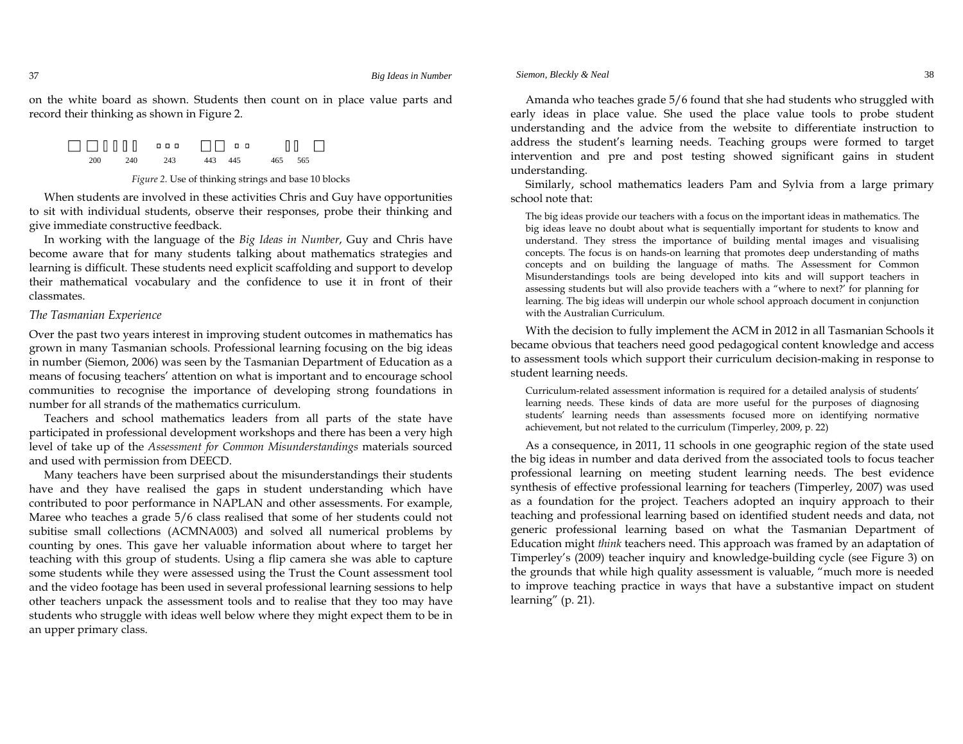on the white board as shown. Students then count on in place value parts and record their thinking as shown in Figure 2.

200 240 243 443 445 465 565

#### *Figure 2.* Use of thinking strings and base 10 blocks

When students are involved in these activities Chris and Guy have opportunities to sit with individual students, observe their responses, probe their thinking and give immediate constructive feedback.

In working with the language of the *Big Ideas in Number*, Guy and Chris have become aware that for many students talking about mathematics strategies and learning is difficult. These students need explicit scaffolding and support to develop their mathematical vocabulary and the confidence to use it in front of their classmates.

#### *The Tasmanian Experience*

Over the past two years interest in improving student outcomes in mathematics has grown in many Tasmanian schools. Professional learning focusing on the big ideas in number (Siemon, 2006) was seen by the Tasmanian Department of Education as a means of focusing teachers' attention on what is important and to encourage school communities to recognise the importance of developing strong foundations in number for all strands of the mathematics curriculum.

Teachers and school mathematics leaders from all parts of the state have participated in professional development workshops and there has been a very high level of take up of the *Assessment for Common Misunderstandings* materials sourced and used with permission from DEECD.

Many teachers have been surprised about the misunderstandings their students have and they have realised the gaps in student understanding which have contributed to poor performance in NAPLAN and other assessments. For example, Maree who teaches a grade 5/6 class realised that some of her students could not subitise small collections (ACMNA003) and solved all numerical problems by counting by ones. This gave her valuable information about where to target her teaching with this group of students. Using a flip camera she was able to capture some students while they were assessed using the Trust the Count assessment tool and the video footage has been used in several professional learning sessions to help other teachers unpack the assessment tools and to realise that they too may have students who struggle with ideas well below where they might expect them to be in an upper primary class.

Amanda who teaches grade 5/6 found that she had students who struggled with early ideas in place value. She used the place value tools to probe student understanding and the advice from the website to differentiate instruction to address the student's learning needs. Teaching groups were formed to target intervention and pre and post testing showed significant gains in student understanding.

Similarly, school mathematics leaders Pam and Sylvia from a large primary school note that:

The big ideas provide our teachers with a focus on the important ideas in mathematics. The big ideas leave no doubt about what is sequentially important for students to know and understand. They stress the importance of building mental images and visualising concepts. The focus is on hands-on learning that promotes deep understanding of maths concepts and on building the language of maths. The Assessment for Common Misunderstandings tools are being developed into kits and will support teachers in assessing students but will also provide teachers with a "where to next?' for planning for learning. The big ideas will underpin our whole school approach document in conjunction with the Australian Curriculum.

With the decision to fully implement the ACM in 2012 in all Tasmanian Schools it became obvious that teachers need good pedagogical content knowledge and access to assessment tools which support their curriculum decision-making in response to student learning needs.

Curriculum-related assessment information is required for a detailed analysis of students' learning needs. These kinds of data are more useful for the purposes of diagnosing students' learning needs than assessments focused more on identifying normative achievement, but not related to the curriculum (Timperley, 2009, p. 22)

As a consequence, in 2011, 11 schools in one geographic region of the state used the big ideas in number and data derived from the associated tools to focus teacher professional learning on meeting student learning needs. The best evidence synthesis of effective professional learning for teachers (Timperley, 2007) was used as a foundation for the project. Teachers adopted an inquiry approach to their teaching and professional learning based on identified student needs and data, not generic professional learning based on what the Tasmanian Department of Education might *think* teachers need. This approach was framed by an adaptation of Timperley's (2009) teacher inquiry and knowledge-building cycle (see Figure 3) on the grounds that while high quality assessment is valuable, "much more is needed to improve teaching practice in ways that have a substantive impact on student learning" (p. 21).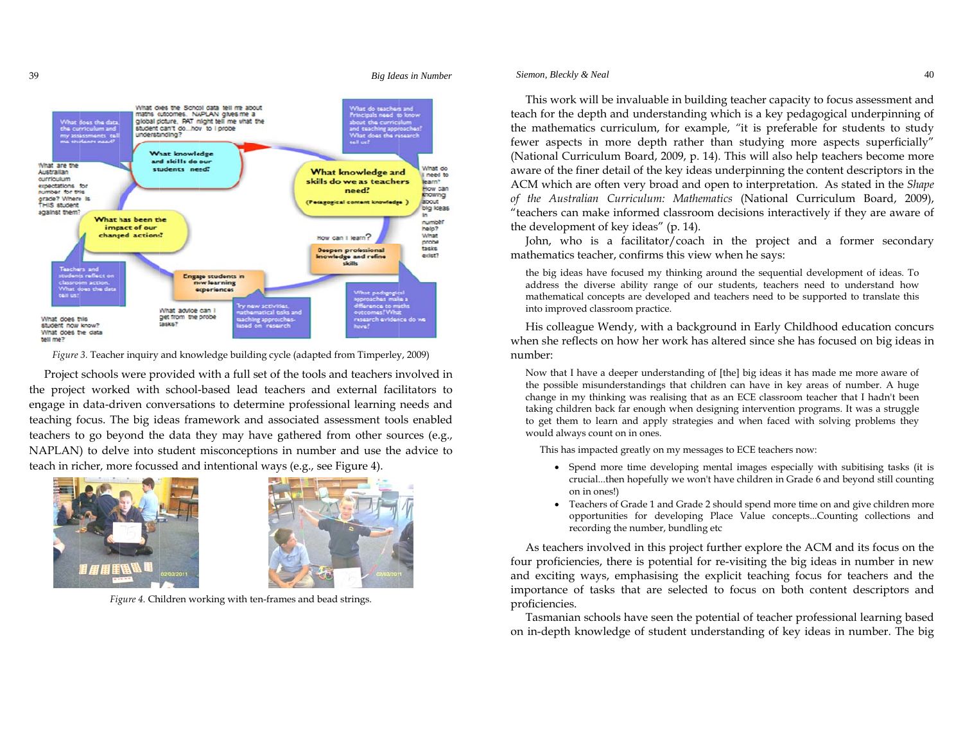

Fig*ure* 3. Teacher inquiry and knowledge building cycle (adapted from Timperley, 2009)

the project worked with school-based lead teachers and external facilitators to engage in data-driven conversations to determine professional learning needs and teaching focus. The big ideas framework and associated assessment tools enabled teachers to go beyond the data they may have gathered from other sources (e.g., NAPLAN) to delve into student misconceptions in number and use the advice to teach in richer, more focussed and intentional ways (e.g., see Figure 4). Project schools were provided with a full set of the tools and teachers involved in



39



*Figure 4.* Children working with ten-frames and bead strings.

#### *Siemon, Bleckly & Neal* 40

This work will be invaluable in building teacher capacity to focus assessment and teach for the depth and understanding which is a key pedagogical underpinning of the mathematics curriculum, for example, *"*it is preferable for students to study fewer aspects in more depth rather than studying more aspects superficially" (National Curriculum Board, 2009, p. 14)*.* This will also help teachers become more aware of the finer detail of the key ideas underpinning the content descriptors in the ACM which are often very broad and open to interpretation. As stated in the *Shape of the Australian Curriculum: Mathematics* (National Curriculum Board, 2009), "teachers can make informed classroom decisions interactively if they are aware of the development of key ideas" (p. 14).

John, who is a facilitator/coach in the project and a former secondary mathematics teacher, confirms this view when he says:

the big ideas have focused my thinking around the sequential development of ideas. To address the diverse ability range of our students, teachers need to understand how mathematical concepts are developed and teachers need to be supported to translate this into improved classroom practice.

His colleague Wendy, with a background in Early Childhood education concurs when she reflects on how her work has altered since she has focused on big ideas in number:

Now that I have a deeper understanding of [the] big ideas it has made me more aware of the possible misunderstandings that children can have in key areas of number. A huge change in my thinking was realising that as an ECE classroom teacher that I hadn't been taking children back far enough when designing intervention programs. It was a struggle to get them to learn and apply strategies and when faced with solving problems they would always count on in ones.

This has impacted greatly on my messages to ECE teachers now:

- Spend more time developing mental images especially with subitising tasks (it is crucial...then hopefully we won't have children in Grade 6 and beyond still counting on in ones!)
- Teachers of Grade 1 and Grade 2 should spend more time on and give children more opportunities for developing Place Value concepts...Counting collections and recording the number, bundling etc

As teachers involved in this project further explore the ACM and its focus on the four proficiencies, there is potential for re-visiting the big ideas in number in new and exciting ways, emphasising the explicit teaching focus for teachers and the importance of tasks that are selected to focus on both content descriptors and proficiencies.

Tasmanian schools have seen the potential of teacher professional learning based on in-depth knowledge of student understanding of key ideas in number. The big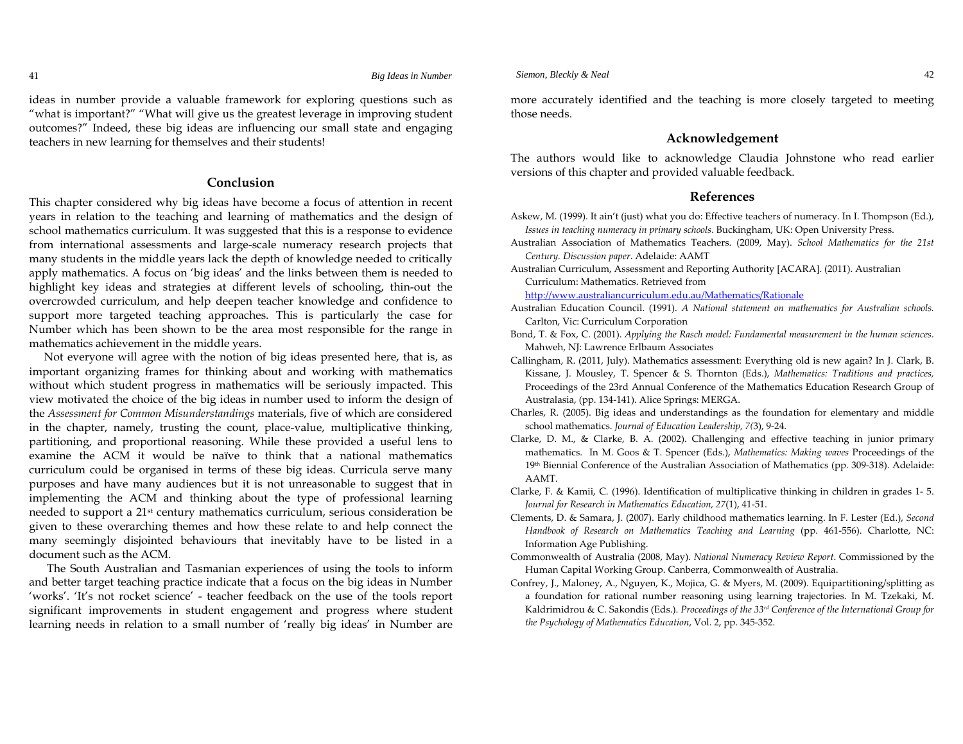41

ideas in number provide a valuable framework for exploring questions such as "what is important?" "What will give us the greatest leverage in improving student outcomes?" Indeed, these big ideas are influencing our small state and engaging teachers in new learning for themselves and their students!

### **Conclusion**

This chapter considered why big ideas have become a focus of attention in recent years in relation to the teaching and learning of mathematics and the design of school mathematics curriculum. It was suggested that this is a response to evidence from international assessments and large-scale numeracy research projects that many students in the middle years lack the depth of knowledge needed to critically apply mathematics. A focus on 'big ideas' and the links between them is needed to highlight key ideas and strategies at different levels of schooling, thin-out the overcrowded curriculum, and help deepen teacher knowledge and confidence to support more targeted teaching approaches. This is particularly the case for Number which has been shown to be the area most responsible for the range in mathematics achievement in the middle years.

Not everyone will agree with the notion of big ideas presented here, that is, as important organizing frames for thinking about and working with mathematics without which student progress in mathematics will be seriously impacted. This view motivated the choice of the big ideas in number used to inform the design of the *Assessment for Common Misunderstandings* materials, five of which are considered in the chapter, namely, trusting the count, place-value, multiplicative thinking, partitioning, and proportional reasoning. While these provided a useful lens to examine the ACM it would be naïve to think that a national mathematics curriculum could be organised in terms of these big ideas. Curricula serve many purposes and have many audiences but it is not unreasonable to suggest that in implementing the ACM and thinking about the type of professional learning needed to support a 21st century mathematics curriculum, serious consideration be given to these overarching themes and how these relate to and help connect the many seemingly disjointed behaviours that inevitably have to be listed in a document such as the ACM.

 The South Australian and Tasmanian experiences of using the tools to inform and better target teaching practice indicate that a focus on the big ideas in Number 'works'. 'It's not rocket science' - teacher feedback on the use of the tools report significant improvements in student engagement and progress where student learning needs in relation to a small number of 'really big ideas' in Number are more accurately identified and the teaching is more closely targeted to meeting those needs.

#### **Acknowledgement**

The authors would like to acknowledge Claudia Johnstone who read earlier versions of this chapter and provided valuable feedback.

#### **References**

- Askew, M. (1999). It ain't (just) what you do: Effective teachers of numeracy. In I. Thompson (Ed.), *Issues in teaching numeracy in primary schools*. Buckingham, UK: Open University Press.
- Australian Association of Mathematics Teachers. (2009, May). *School Mathematics for the 21st Century. Discussion paper*. Adelaide: AAMT
- Australian Curriculum, Assessment and Reporting Authority [ACARA]. (2011). Australian Curriculum: Mathematics. Retrieved from

http://www.australiancurriculum.edu.au/Mathematics/Rationale

- Australian Education Council. (1991). *A National statement on mathematics for Australian schools.* Carlton, Vic: Curriculum Corporation
- Bond, T. & Fox, C. (2001). *Applying the Rasch model: Fundamental measurement in the human sciences*. Mahweh, NJ: Lawrence Erlbaum Associates
- Callingham, R. (2011, July). Mathematics assessment: Everything old is new again? In J. Clark, B. Kissane, J. Mousley, T. Spencer & S. Thornton (Eds.), *Mathematics: Traditions and practices,* Proceedings of the 23rd Annual Conference of the Mathematics Education Research Group of Australasia, (pp. 134‐141). Alice Springs: MERGA.
- Charles, R. (2005). Big ideas and understandings as the foundation for elementary and middle school mathematics. *Journal of Education Leadership, 7(*3), 9‐24.
- Clarke, D. M., & Clarke, B. A. (2002). Challenging and effective teaching in junior primary mathematics. In M. Goos & T. Spencer (Eds.), *Mathematics: Making waves* Proceedings of the 19th Biennial Conference of the Australian Association of Mathematics (pp. 309‐318). Adelaide: AAMT.
- Clarke, F. & Kamii, C. (1996). Identification of multiplicative thinking in children in grades <sup>1</sup>‐ 5. *Journal for Research in Mathematics Education, <sup>27</sup>*(1), <sup>41</sup>‐51.
- Clements, D. & Samara, J. (2007). Early childhood mathematics learning. In F. Lester (Ed.), *Second Handbook of Research on Mathematics Teaching and Learning* (pp. 461‐556). Charlotte, NC: Information Age Publishing.
- Commonwealth of Australia (2008, May). *National Numeracy Review Report*. Commissioned by the Human Capital Working Group. Canberra, Commonwealth of Australia.
- Confrey, J., Maloney, A., Nguyen, K., Mojica, G. & Myers, M. (2009). Equipartitioning/splitting as a foundation for rational number reasoning using learning trajectories. In M. Tzekaki, M. Kaldrimidrou & C. Sakondis (Eds.). *Proceedings of the 33rd Conference of the International Group for the Psychology of Mathematics Education*, Vol. 2, pp. 345‐352.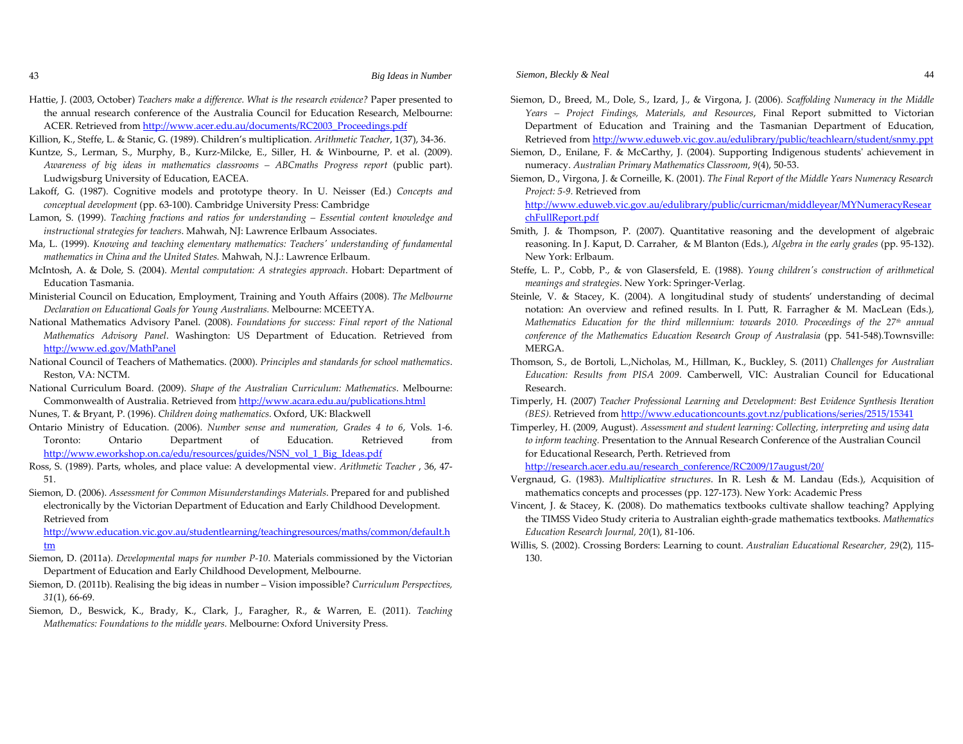Hattie, J. (2003, October) *Teachers make <sup>a</sup> difference. What is the research evidence?* Paper presented to the annual research conference of the Australia Council for Education Research, Melbourne: ACER. Retrieved from <u>http://www.acer.edu.au/documents/RC2003\_Proceedings.pdf</u>

Killion, K., Steffe, L. & Stanic, G. (1989). Children's multiplication. *Arithmetic Teacher*, 1(37), 34‐36.

- Kuntze, S., Lerman, S., Murphy, B., Kurz‐Milcke, E., Siller, H. & Winbourne, P. et al. (2009). *Awareness of big ideas in mathematics classrooms – ABCmaths Progress repor<sup>t</sup>* (public part). Ludwigsburg University of Education, EACEA.
- Lakoff, G. (1987). Cognitive models and prototype theory. In U. Neisser (Ed.) *Concepts and conceptual development* (pp. 63‐100). Cambridge University Press: Cambridge
- Lamon, S. (1999). *Teaching fractions and ratios for understanding – Essential content knowledge and instructional strategies for teachers*. Mahwah, NJ: Lawrence Erlbaum Associates.
- Ma, L. (1999). *Knowing and teaching elementary mathematics: Teachersʹ understanding of fundamental mathematics in China and the United States.* Mahwah, N.J.: Lawrence Erlbaum.
- McIntosh, A. & Dole, S. (2004). *Mental computation: A strategies approach*. Hobart: Department of Education Tasmania.
- Ministerial Council on Education, Employment, Training and Youth Affairs (2008). *The Melbourne Declaration on Educational Goals for Young Australians.* Melbourne: MCEETYA.
- National Mathematics Advisory Panel. (2008). *Foundations for success: Final repor<sup>t</sup> of the National Mathematics Advisory Panel*. Washington: US Department of Education. Retrieved from http://www.ed.gov/MathPanel
- National Council of Teachers of Mathematics. (2000). *Principles and standards for school mathematics*. Reston, VA: NCTM.
- National Curriculum Board. (2009). *Shape of the Australian Curriculum: Mathematics*. Melbourne: Commonwealth of Australia. Retrieved from <u>http://www.acara.edu.au/publications.html</u>

Nunes, T. & Bryant, P. (1996). *Children doing mathematics*. Oxford, UK: Blackwell

- Ontario Ministry of Education. (2006). *Number sense and numeration, Grades <sup>4</sup> to <sup>6</sup>*, Vols. <sup>1</sup>‐6. Toronto: Ontario Department of Education. Retrieved from http://www.eworkshop.on.ca/edu/resources/guides/NSN\_vol\_1\_Big\_Ideas.pdf
- Ross, S. (1989). Parts, wholes, and place value: A developmental view. *Arithmetic Teacher* , 36, <sup>47</sup>‐ 51.
- Siemon, D. (2006). *Assessment for Common Misunderstandings Materials*. Prepared for and published electronically by the Victorian Department of Education and Early Childhood Development. Retrieved from

http://www.education.vic.gov.au/studentlearning/teachingresources/maths/common/default.h tm

- Siemon, D. (2011a). *Developmental maps for number <sup>P</sup>‐10*. Materials commissioned by the Victorian Department of Education and Early Childhood Development, Melbourne.
- Siemon, D. (2011b). Realising the big ideas in number Vision impossible? *Curriculum Perspectives, 31*(1), 66‐69.
- Siemon, D., Beswick, K., Brady, K., Clark, J., Faragher, R., & Warren, E. (2011). *Teaching Mathematics: Foundations to the middle years.* Melbourne: Oxford University Press.
- Siemon, D., Breed, M., Dole, S., Izard, J., & Virgona, J. (2006). *Scaffolding Numeracy in the Middle Years – Project Findings, Materials, and Resources*, Final Report submitted to Victorian Department of Education and Training and the Tasmanian Department of Education, Retrieved from <u>http://www.eduweb.vic.gov.au/edulibrary/public/teachlearn/student/snmy.ppt</u>
- Siemon, D., Enilane, F. & McCarthy, J. (2004). Supporting Indigenous studentsʹ achievement in numeracy. *Australian Primary Mathematics Classroom*, *<sup>9</sup>*(4), 50‐53.
- Siemon, D., Virgona, J. & Corneille, K. (2001). *The Final Report of the Middle Years Numeracy Research Project: <sup>5</sup>‐9.* Retrieved from

http://www.eduweb.vic.gov.au/edulibrary/public/curricman/middleyear/MYNumeracyResear chFullReport.pdf

- Smith, J. & Thompson, P. (2007). Quantitative reasoning and the development of algebraic reasoning. In J. Kaput, D. Carraher, & <sup>M</sup> Blanton (Eds.), *Algebra in the early grades* (pp. 95‐132). New York: Erlbaum.
- Steffe, L. P., Cobb, P., & von Glasersfeld, E. (1988). *Young children<sup>ʹ</sup><sup>s</sup> construction of arithmetical meanings and strategies*. New York: Springer‐Verlag.
- Steinle, V. & Stacey, K. (2004). A longitudinal study of students' understanding of decimal notation: An overview and refined results. In I. Putt, R. Farragher & M. MacLean (Eds.), *Mathematics Education for the third millennium: towards 2010. Proceedings of the 27th annual conference of the Mathematics Education Research Group of Australasia* (pp. 541‐548).Townsville: MERGA.
- Thomson, S., de Bortoli, L.,Nicholas, M., Hillman, K., Buckley, S. (2011) *Challenges for Australian Education: Results from PISA <sup>2009</sup>*. Camberwell, VIC: Australian Council for Educational Research.
- Timperly, H. (2007) *Teacher Professional Learning and Development: Best Evidence Synthesis Iteration (BES).* Retrieved from http://www.educationcounts.govt.nz/publications/series/2515/15341
- Timperley, H. (2009, August). *Assessment and student learning: Collecting, interpreting and using data to inform teaching.* Presentation to the Annual Research Conference of the Australian Council for Educational Research, Perth. Retrieved from

http://research.acer.edu.au/research\_conference/RC2009/17august/20/

- Vergnaud, G. (1983). *Multiplicative structures*. In R. Lesh & M. Landau (Eds.), Acquisition of mathematics concepts and processes (pp. <sup>127</sup>‐173). New York: Academic Press
- Vincent, J. & Stacey, K. (2008). Do mathematics textbooks cultivate shallow teaching? Applying the TIMSS Video Study criteria to Australian eighth‐grade mathematics textbooks. *Mathematics Education Research Journal, 20*(1), 81‐106.
- Willis, S. (2002). Crossing Borders: Learning to count. *Australian Educational Researcher, <sup>29</sup>*(2), 115‐ 130.

43